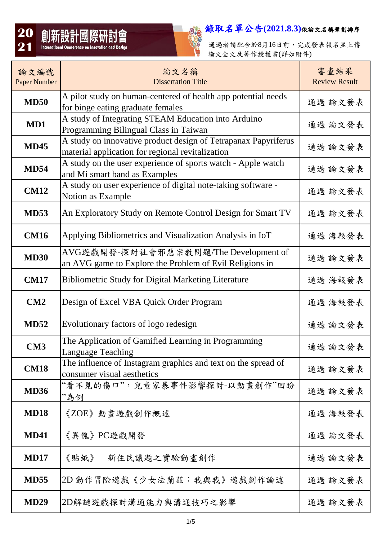

通過者請配合於8月16日前,完成發表報名並上傳 論文全文及著作授權書(詳如附件)

| 論文編號<br><b>Paper Number</b> | 論文名稱<br><b>Dissertation Title</b>                                                                                  | 審查結果<br><b>Review Result</b> |
|-----------------------------|--------------------------------------------------------------------------------------------------------------------|------------------------------|
| <b>MD50</b>                 | A pilot study on human-centered of health app potential needs<br>for binge eating graduate females                 | 通過 論文發表                      |
| MD1                         | A study of Integrating STEAM Education into Arduino<br>Programming Bilingual Class in Taiwan                       | 通過 論文發表                      |
| <b>MD45</b>                 | A study on innovative product design of Tetrapanax Papyriferus<br>material application for regional revitalization | 通過 論文發表                      |
| <b>MD54</b>                 | A study on the user experience of sports watch - Apple watch<br>and Mi smart band as Examples                      | 通過 論文發表                      |
| <b>CM12</b>                 | A study on user experience of digital note-taking software -<br>Notion as Example                                  | 通過 論文發表                      |
| <b>MD53</b>                 | An Exploratory Study on Remote Control Design for Smart TV                                                         | 通過 論文發表                      |
| <b>CM16</b>                 | Applying Bibliometrics and Visualization Analysis in IoT                                                           | 通過 海報發表                      |
| <b>MD30</b>                 | AVG遊戲開發-探討社會邪惡宗教問題/The Development of<br>an AVG game to Explore the Problem of Evil Religions in                   | 通過 論文發表                      |
| <b>CM17</b>                 | <b>Bibliometric Study for Digital Marketing Literature</b>                                                         | 通過 海報發表                      |
| CM2                         | Design of Excel VBA Quick Order Program                                                                            | 通過 海報發表                      |
| <b>MD52</b>                 | Evolutionary factors of logo redesign                                                                              | 通過 論文發表                      |
| CM <sub>3</sub>             | The Application of Gamified Learning in Programming<br><b>Language Teaching</b>                                    | 通過 論文發表                      |
| <b>CM18</b>                 | The influence of Instagram graphics and text on the spread of<br>consumer visual aesthetics                        | 通過 論文發表                      |
| <b>MD36</b>                 | "看不見的傷口",兒童家暴事件影響探討-以動畫創作"回盼<br>"為例                                                                                | 通過 論文發表                      |
| <b>MD18</b>                 | 《ZOE》動畫遊戲創作概述                                                                                                      | 通過 海報發表                      |
| <b>MD41</b>                 | 《異傀》PC遊戲開發                                                                                                         | 通過 論文發表                      |
| <b>MD17</b>                 | 《貼紙》一新住民議題之實驗動畫創作                                                                                                  | 通過 論文發表                      |
| <b>MD55</b>                 | 2D 動作冒險遊戲《少女法蘭茲: 我與我》遊戲創作論述                                                                                        | 通過 論文發表                      |
| <b>MD29</b>                 | 2D解謎遊戲探討溝通能力與溝通技巧之影響                                                                                               | 通過 論文發表                      |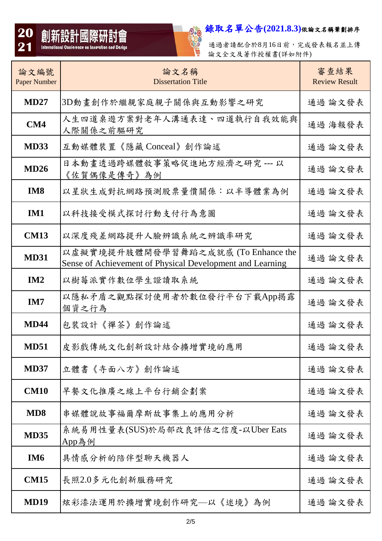

2000<br>1980 通過者請配合於8月16日前,完成發表報名並上傳 論文全文及著作授權書(詳如附件)

| 論文編號<br><b>Paper Number</b> | 論文名稱<br><b>Dissertation Title</b>                                                                | 審查結果<br><b>Review Result</b> |
|-----------------------------|--------------------------------------------------------------------------------------------------|------------------------------|
| <b>MD27</b>                 | 3D動畫創作於繼親家庭親子關係與互動影響之研究                                                                          | 通過 論文發表                      |
| CM4                         | 人生四道桌遊方案對老年人溝通表達、四道執行自我效能與<br>人際關係之前驅研究                                                          | 通過 海報發表                      |
| <b>MD33</b>                 | 互動媒體裝置《隱藏 Conceal》創作論述                                                                           | 通過 論文發表                      |
| MD26                        | 日本動畫透過跨媒體敘事策略促進地方經濟之研究 --- 以<br>《佐賀偶像是傳奇》為例                                                      | 通過 論文發表                      |
| IM <sub>8</sub>             | 以星狀生成對抗網路預測股票量價關係:以半導體業為例                                                                        | 通過 論文發表                      |
| IM1                         | 以科技接受模式探討行動支付行為意圖                                                                                | 通過 論文發表                      |
| <b>CM13</b>                 | 以深度殘差網路提升人臉辨識系統之辨識率研究                                                                            | 通過 論文發表                      |
| <b>MD31</b>                 | 以虛擬實境提升肢體開發學習舞蹈之成就感 (To Enhance the<br>Sense of Achievement of Physical Development and Learning | 通過 論文發表                      |
| IM2                         | 以樹莓派實作數位學生證讀取系統                                                                                  | 通過 論文發表                      |
| IM7                         | 以隱私矛盾之觀點探討使用者於數位發行平台下載App揭露<br>個資之行為                                                             | 通過 論文發表                      |
| <b>MD44</b>                 | 包裝設計《禪茶》創作論述                                                                                     | 通過 論文發表                      |
| <b>MD51</b>                 | 皮影戲傳統文化創新設計結合擴增實境的應用                                                                             | 通過 論文發表                      |
| <b>MD37</b>                 | 立體書《寺面八方》創作論述                                                                                    | 通過 論文發表                      |
| <b>CM10</b>                 | 早餐文化推廣之線上平台行銷企劃案                                                                                 | 通過 論文發表                      |
| MD <sub>8</sub>             | 串媒體說故事福爾摩斯故事集上的應用分析                                                                              | 通過 論文發表                      |
| <b>MD35</b>                 | 系統易用性量表(SUS)於局部改良評估之信度-以Uber Eats<br>App為例                                                       | 通過 論文發表                      |
| IM <sub>6</sub>             | 具情感分析的陪伴型聊天機器人                                                                                   | 通過 論文發表                      |
| <b>CM15</b>                 | 長照2.0多元化創新服務研究                                                                                   | 通過 論文發表                      |
| <b>MD19</b>                 | 炫彩漆法運用於擴增實境創作研究—以《迷境》為例                                                                          | 通過 論文發表                      |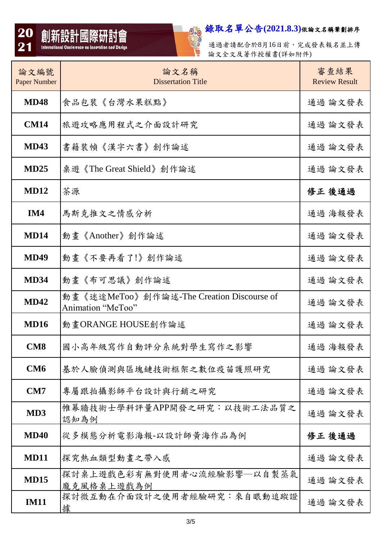



通過者請配合於8月16日前,完成發表報名並上傳 論文全文及著作授權書(詳如附件)

| 論文編號<br><b>Paper Number</b> | 論文名稱<br><b>Dissertation Title</b>                              | 審查結果<br><b>Review Result</b> |
|-----------------------------|----------------------------------------------------------------|------------------------------|
| <b>MD48</b>                 | 食品包裝《台灣水果糕點》                                                   | 通過 論文發表                      |
| <b>CM14</b>                 | 旅遊攻略應用程式之介面設計研究                                                | 通過 論文發表                      |
| <b>MD43</b>                 | 書籍裝幀《漢字六書》創作論述                                                 | 通過 論文發表                      |
| MD25                        | 桌遊《The Great Shield》創作論述                                       | 通過 論文發表                      |
| <b>MD12</b>                 | 茶源                                                             | 修正 後通過                       |
| IM4                         | 馬斯克推文之情感分析                                                     | 通過 海報發表                      |
| <b>MD14</b>                 | 動畫《Another》創作論述                                                | 通過 論文發表                      |
| <b>MD49</b>                 | 動畫《不要再看了!》創作論述                                                 | 通過 論文發表                      |
| <b>MD34</b>                 | 動畫《布可思議》創作論述                                                   | 通過 論文發表                      |
| <b>MD42</b>                 | 動畫《迷途MeToo》創作論述-The Creation Discourse of<br>Animation "MeToo" | 通過 論文發表                      |
| <b>MD16</b>                 | 動畫ORANGE HOUSE創作論述                                             | 通過 論文發表                      |
| <b>CM8</b>                  | 國小高年級寫作自動評分系統對學生寫作之影響                                          | 通過 海報發表                      |
| CM <sub>6</sub>             | 基於人臉偵測與區塊鏈技術框架之數位疫苗護照研究                                        | 通過 論文發表                      |
| CM7                         | 專屬跟拍攝影師平台設計與行銷之研究                                              | 通過 論文發表                      |
| MD3                         | 帷幕牆技術士學科評量APP開發之研究:以技術工法品質之<br>認知為例                            | 通過 論文發表                      |
| <b>MD40</b>                 | 從多模態分析電影海報-以設計師黃海作品為例                                          | 修正 後通過                       |
| <b>MD11</b>                 | 探究熱血類型動畫之帶入感                                                   | 通過 論文發表                      |
| <b>MD15</b>                 | 探討桌上遊戲色彩有無對使用者心流經驗影響—以自製蒸氣<br>龐克風格桌上遊戲為例                       | 通過 論文發表                      |
| <b>IM11</b>                 | 探討微互動在介面設計之使用者經驗研究:來自眼動追蹤證<br>據                                | 通過 論文發表                      |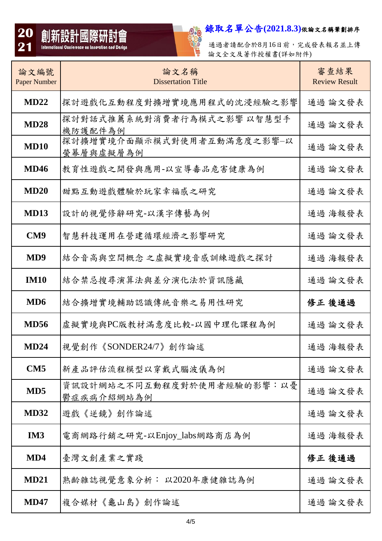

通過者請配合於8月16日前,完成發表報名並上傳 論文全文及著作授權書(詳如附件)

| 論文編號<br><b>Paper Number</b> | 論文名稱<br><b>Dissertation Title</b>        | 審查結果<br><b>Review Result</b> |
|-----------------------------|------------------------------------------|------------------------------|
| MD22                        | 探討遊戲化互動程度對擴增實境應用程式的沈浸經驗之影響               | 通過 論文發表                      |
| <b>MD28</b>                 | 探討對話式推薦系統對消費者行為模式之影響 以智慧型手<br>機防護配件為例    | 通過 論文發表                      |
| <b>MD10</b>                 | 探討擴增實境介面顯示模式對使用者互動滿意度之影響-以<br>螢幕層與虛擬層為例  | 通過 論文發表                      |
| <b>MD46</b>                 | 教育性遊戲之開發與應用-以宣導毒品危害健康為例                  | 通過 論文發表                      |
| MD20                        | 甜點互動遊戲體驗於玩家幸福感之研究                        | 通過 論文發表                      |
| <b>MD13</b>                 | 設計的視覺修辭研究-以漢字傳藝為例                        | 通過 海報發表                      |
| CM <sub>9</sub>             | 智慧科技運用在營建循環經濟之影響研究                       | 通過 論文發表                      |
| MD <sub>9</sub>             | 結合音高與空間概念之虛擬實境音感訓練遊戲之探討                  | 通過 海報發表                      |
| <b>IM10</b>                 | 結合禁忌搜尋演算法與差分演化法於資訊隱藏                     | 通過 論文發表                      |
| MD <sub>6</sub>             | 結合擴增實境輔助認識傳統音樂之易用性研究                     | 修正 後通過                       |
| <b>MD56</b>                 | 虛擬實境與PC版教材滿意度比較-以國中理化課程為例                | 通過 論文發表                      |
| <b>MD24</b>                 | 視覺創作《SONDER24/7》創作論述                     | 通過 海報發表                      |
| CM5                         | 新產品評估流程模型以穿戴式腦波儀為例                       | 通過 論文發表                      |
| MD <sub>5</sub>             | 資訊設計網站之不同互動程度對於使用者經驗的影響:以憂<br>鬱症疾病介紹網站為例 | 通過 論文發表                      |
| <b>MD32</b>                 | 遊戲《逆鏡》創作論述                               | 通過 論文發表                      |
| IM <sub>3</sub>             | 電商網路行銷之研究-以Enjoy_labs網路商店為例              | 通過 海報發表                      |
| MD4                         | 臺灣文創產業之實踐                                | 修正 後通過                       |
| <b>MD21</b>                 | 熟齡雜誌視覺意象分析: 以2020年康健雜誌為例                 | 通過 論文發表                      |
| <b>MD47</b>                 | 複合媒材《龜山島》創作論述                            | 通過 論文發表                      |